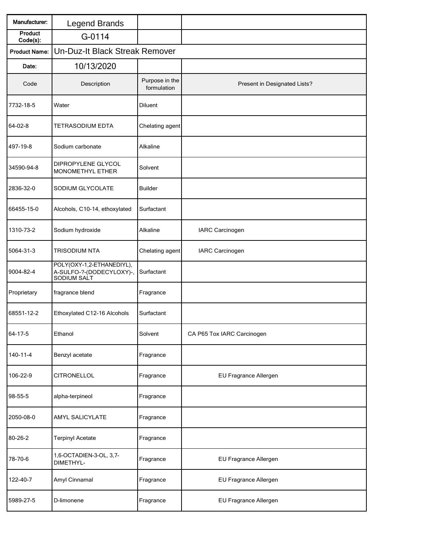| Manufacturer:        | Legend Brands                                                        |                               |                              |  |  |
|----------------------|----------------------------------------------------------------------|-------------------------------|------------------------------|--|--|
| Product<br>Code(s):  | G-0114                                                               |                               |                              |  |  |
| <b>Product Name:</b> | Un-Duz-It Black Streak Remover                                       |                               |                              |  |  |
| Date:                | 10/13/2020                                                           |                               |                              |  |  |
| Code                 | Description                                                          | Purpose in the<br>formulation | Present in Designated Lists? |  |  |
| 7732-18-5            | Water                                                                | Diluent                       |                              |  |  |
| 64-02-8              | <b>TETRASODIUM EDTA</b>                                              | Chelating agent               |                              |  |  |
| 497-19-8             | Sodium carbonate                                                     | Alkaline                      |                              |  |  |
| 34590-94-8           | DIPROPYLENE GLYCOL<br>MONOMETHYL ETHER                               | Solvent                       |                              |  |  |
| 2836-32-0            | SODIUM GLYCOLATE                                                     | <b>Builder</b>                |                              |  |  |
| 66455-15-0           | Alcohols, C10-14, ethoxylated                                        | Surfactant                    |                              |  |  |
| 1310-73-2            | Sodium hydroxide                                                     | Alkaline                      | IARC Carcinogen              |  |  |
| 5064-31-3            | <b>TRISODIUM NTA</b>                                                 | Chelating agent               | IARC Carcinogen              |  |  |
| 9004-82-4            | POLY(OXY-1,2-ETHANEDIYL),<br>A-SULFO-?-(DODECYLOXY)-,<br>SODIUM SALT | Surfactant                    |                              |  |  |
| Proprietary          | fragrance blend                                                      | Fragrance                     |                              |  |  |
| 68551-12-2           | Ethoxylated C12-16 Alcohols                                          | Surfactant                    |                              |  |  |
| 64-17-5              | Ethanol                                                              | Solvent                       | CA P65 Tox IARC Carcinogen   |  |  |
| 140-11-4             | Benzyl acetate                                                       | Fragrance                     |                              |  |  |
| 106-22-9             | CITRONELLOL                                                          | Fragrance                     | EU Fragrance Allergen        |  |  |
| 98-55-5              | alpha-terpineol                                                      | Fragrance                     |                              |  |  |
| 2050-08-0            | AMYL SALICYLATE                                                      | Fragrance                     |                              |  |  |
| 80-26-2              | <b>Terpinyl Acetate</b>                                              | Fragrance                     |                              |  |  |
| 78-70-6              | 1,6-OCTADIEN-3-OL, 3,7-<br>DIMETHYL-                                 | Fragrance                     | EU Fragrance Allergen        |  |  |
| 122-40-7             | Amyl Cinnamal                                                        | Fragrance                     | EU Fragrance Allergen        |  |  |
| 5989-27-5            | D-limonene                                                           | Fragrance                     | EU Fragrance Allergen        |  |  |